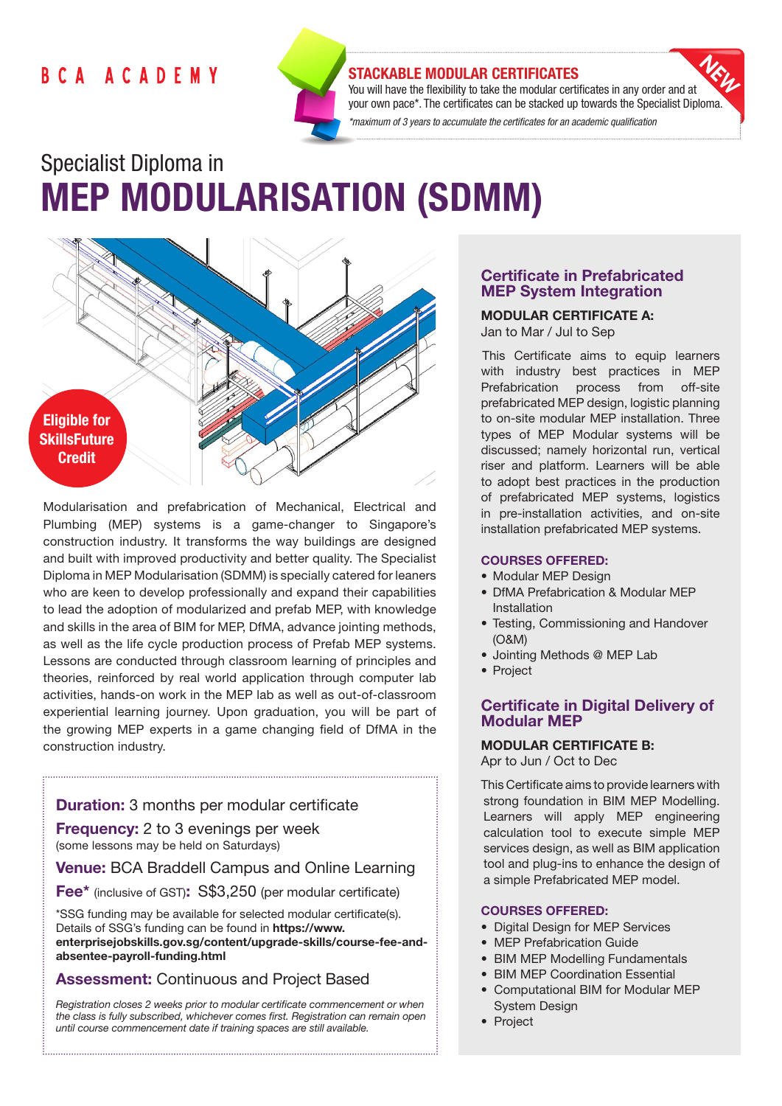## **BCA ACADEMY**



#### STACKABLE MODULAR CERTIFICATES

You will have the flexibility to take the modular certificates in any order and at your own pace\*. The certificates can be stacked up towards the Specialist Diploma. *\*maximum of 3 years to accumulate the certificates for an academic qualification* 

# Specialist Diploma in MEP MODULARISATION (SDMM)



Modularisation and prefabrication of Mechanical, Electrical and Plumbing (MEP) systems is a game-changer to Singapore's construction industry. It transforms the way buildings are designed and built with improved productivity and better quality. The Specialist Diploma in MEP Modularisation (SDMM) is specially catered for leaners who are keen to develop professionally and expand their capabilities to lead the adoption of modularized and prefab MEP, with knowledge and skills in the area of BIM for MEP, DfMA, advance jointing methods, as well as the life cycle production process of Prefab MEP systems. Lessons are conducted through classroom learning of principles and theories, reinforced by real world application through computer lab activities, hands-on work in the MEP lab as well as out-of-classroom experiential learning journey. Upon graduation, you will be part of the growing MEP experts in a game changing field of DfMA in the construction industry.

## Duration: 3 months per modular certificate

Frequency: 2 to 3 evenings per week (some lessons may be held on Saturdays)

## Venue: BCA Braddell Campus and Online Learning

Fee\* (inclusive of GST): S\$3,250 (per modular certificate)

\*SSG funding may be available for selected modular certificate(s). Details of SSG's funding can be found in https://www. enterprisejobskills.gov.sg/content/upgrade-skills/course-fee-andabsentee-payroll-funding.html

## Assessment: Continuous and Project Based

*Registration closes 2 weeks prior to modular certificate commencement or when the class is fully subscribed, whichever comes first. Registration can remain open until course commencement date if training spaces are still available.*

## Certificate in Prefabricated MEP System Integration

MODULAR CERTIFICATE A: Jan to Mar / Jul to Sep

This Certificate aims to equip learners with industry best practices in MEP Prefabrication process from off-site prefabricated MEP design, logistic planning to on-site modular MEP installation. Three types of MEP Modular systems will be discussed; namely horizontal run, vertical riser and platform. Learners will be able to adopt best practices in the production of prefabricated MEP systems, logistics in pre-installation activities, and on-site installation prefabricated MEP systems.

#### COURSES OFFERED:

- Modular MEP Design
- DfMA Prefabrication & Modular MEP Installation
- Testing, Commissioning and Handover (O&M)
- Jointing Methods @ MEP Lab
- Project

## Certificate in Digital Delivery of Modular MEP

## MODULAR CERTIFICATE B:

Apr to Jun / Oct to Dec

This Certificate aims to provide learners with strong foundation in BIM MEP Modelling. Learners will apply MEP engineering calculation tool to execute simple MEP services design, as well as BIM application tool and plug-ins to enhance the design of a simple Prefabricated MEP model.

#### COURSES OFFERED:

- Digital Design for MEP Services
- MEP Prefabrication Guide
- BIM MEP Modelling Fundamentals
- BIM MEP Coordination Essential
- Computational BIM for Modular MEP System Design
- Project